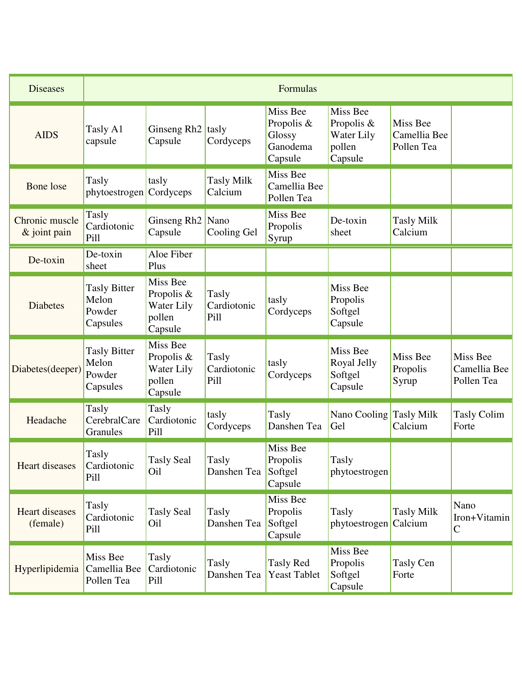| <b>Diseases</b>                   | Formulas                                           |                                                           |                              |                                                         |                                                           |                                        |                                        |  |  |  |
|-----------------------------------|----------------------------------------------------|-----------------------------------------------------------|------------------------------|---------------------------------------------------------|-----------------------------------------------------------|----------------------------------------|----------------------------------------|--|--|--|
| <b>AIDS</b>                       | Tasly A1<br>capsule                                | Ginseng Rh <sub>2</sub><br>Capsule                        | tasly<br>Cordyceps           | Miss Bee<br>Propolis &<br>Glossy<br>Ganodema<br>Capsule | Miss Bee<br>Propolis &<br>Water Lily<br>pollen<br>Capsule | Miss Bee<br>Camellia Bee<br>Pollen Tea |                                        |  |  |  |
| <b>Bone</b> lose                  | Tasly<br>phytoestrogen                             | tasly<br>Cordyceps                                        | <b>Tasly Milk</b><br>Calcium | Miss Bee<br>Camellia Bee<br>Pollen Tea                  |                                                           |                                        |                                        |  |  |  |
| Chronic muscle<br>& joint pain    | Tasly<br>Cardiotonic<br>Pill                       | Ginseng Rh <sub>2</sub><br>Capsule                        | Nano<br>Cooling Gel          | Miss Bee<br>Propolis<br>Syrup                           | De-toxin<br>sheet                                         | <b>Tasly Milk</b><br>Calcium           |                                        |  |  |  |
| De-toxin                          | De-toxin<br>sheet                                  | Aloe Fiber<br>Plus                                        |                              |                                                         |                                                           |                                        |                                        |  |  |  |
| <b>Diabetes</b>                   | <b>Tasly Bitter</b><br>Melon<br>Powder<br>Capsules | Miss Bee<br>Propolis &<br>Water Lily<br>pollen<br>Capsule | Tasly<br>Cardiotonic<br>Pill | tasly<br>Cordyceps                                      | Miss Bee<br>Propolis<br>Softgel<br>Capsule                |                                        |                                        |  |  |  |
| Diabetes(deeper)                  | <b>Tasly Bitter</b><br>Melon<br>Powder<br>Capsules | Miss Bee<br>Propolis &<br>Water Lily<br>pollen<br>Capsule | Tasly<br>Cardiotonic<br>Pill | tasly<br>Cordyceps                                      | Miss Bee<br>Royal Jelly<br>Softgel<br>Capsule             | Miss Bee<br>Propolis<br>Syrup          | Miss Bee<br>Camellia Bee<br>Pollen Tea |  |  |  |
| Headache                          | Tasly<br>CerebralCare<br>Granules                  | Tasly<br>Cardiotonic<br>Pill                              | tasly<br>Cordyceps           | Tasly<br>Danshen Tea                                    | Nano Cooling Tasly Milk<br>Gel                            | Calcium                                | <b>Tasly Colim</b><br>Forte            |  |  |  |
| Heart diseases                    | Tasly<br>Cardiotonic<br>Pill                       | <b>Tasly Seal</b><br>Oil                                  | Tasly<br>Danshen Tea         | Miss Bee<br>Propolis<br>Softgel<br>Capsule              | Tasly<br>phytoestrogen                                    |                                        |                                        |  |  |  |
| <b>Heart diseases</b><br>(female) | Tasly<br>Cardiotonic<br>Pill                       | <b>Tasly Seal</b><br>Oil                                  | Tasly<br>Danshen Tea         | Miss Bee<br>Propolis<br>Softgel<br>Capsule              | Tasly<br>phytoestrogen Calcium                            | <b>Tasly Milk</b>                      | Nano<br>Iron+Vitamin<br>$\mathcal{C}$  |  |  |  |
| Hyperlipidemia                    | Miss Bee<br>Camellia Bee<br>Pollen Tea             | Tasly<br>Cardiotonic<br>Pill                              | Tasly<br>Danshen Tea         | <b>Tasly Red</b><br><b>Yeast Tablet</b>                 | Miss Bee<br>Propolis<br>Softgel<br>Capsule                | Tasly Cen<br>Forte                     |                                        |  |  |  |